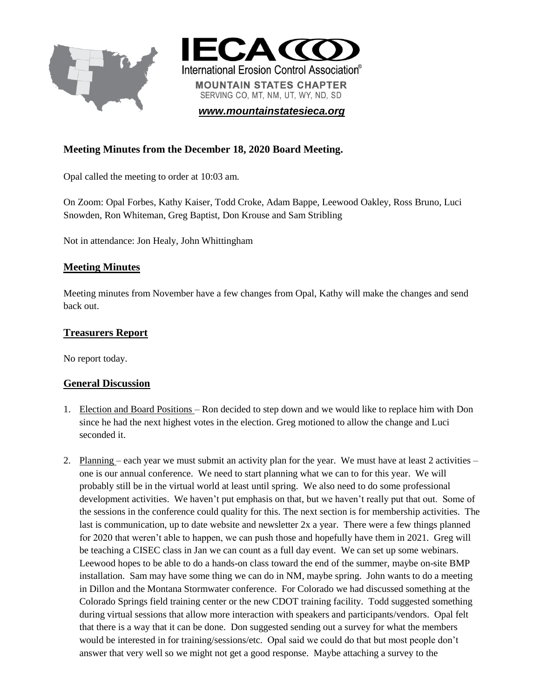



*[www.mountainstatesieca.org](http://www.mountainstatesieca.org/)*

# **Meeting Minutes from the December 18, 2020 Board Meeting.**

Opal called the meeting to order at 10:03 am.

On Zoom: Opal Forbes, Kathy Kaiser, Todd Croke, Adam Bappe, Leewood Oakley, Ross Bruno, Luci Snowden, Ron Whiteman, Greg Baptist, Don Krouse and Sam Stribling

Not in attendance: Jon Healy, John Whittingham

### **Meeting Minutes**

Meeting minutes from November have a few changes from Opal, Kathy will make the changes and send back out.

### **Treasurers Report**

No report today.

### **General Discussion**

- 1. Election and Board Positions Ron decided to step down and we would like to replace him with Don since he had the next highest votes in the election. Greg motioned to allow the change and Luci seconded it.
- 2. Planning each year we must submit an activity plan for the year. We must have at least 2 activities one is our annual conference. We need to start planning what we can to for this year. We will probably still be in the virtual world at least until spring. We also need to do some professional development activities. We haven't put emphasis on that, but we haven't really put that out. Some of the sessions in the conference could quality for this. The next section is for membership activities. The last is communication, up to date website and newsletter 2x a year. There were a few things planned for 2020 that weren't able to happen, we can push those and hopefully have them in 2021. Greg will be teaching a CISEC class in Jan we can count as a full day event. We can set up some webinars. Leewood hopes to be able to do a hands-on class toward the end of the summer, maybe on-site BMP installation. Sam may have some thing we can do in NM, maybe spring. John wants to do a meeting in Dillon and the Montana Stormwater conference. For Colorado we had discussed something at the Colorado Springs field training center or the new CDOT training facility. Todd suggested something during virtual sessions that allow more interaction with speakers and participants/vendors. Opal felt that there is a way that it can be done. Don suggested sending out a survey for what the members would be interested in for training/sessions/etc. Opal said we could do that but most people don't answer that very well so we might not get a good response. Maybe attaching a survey to the